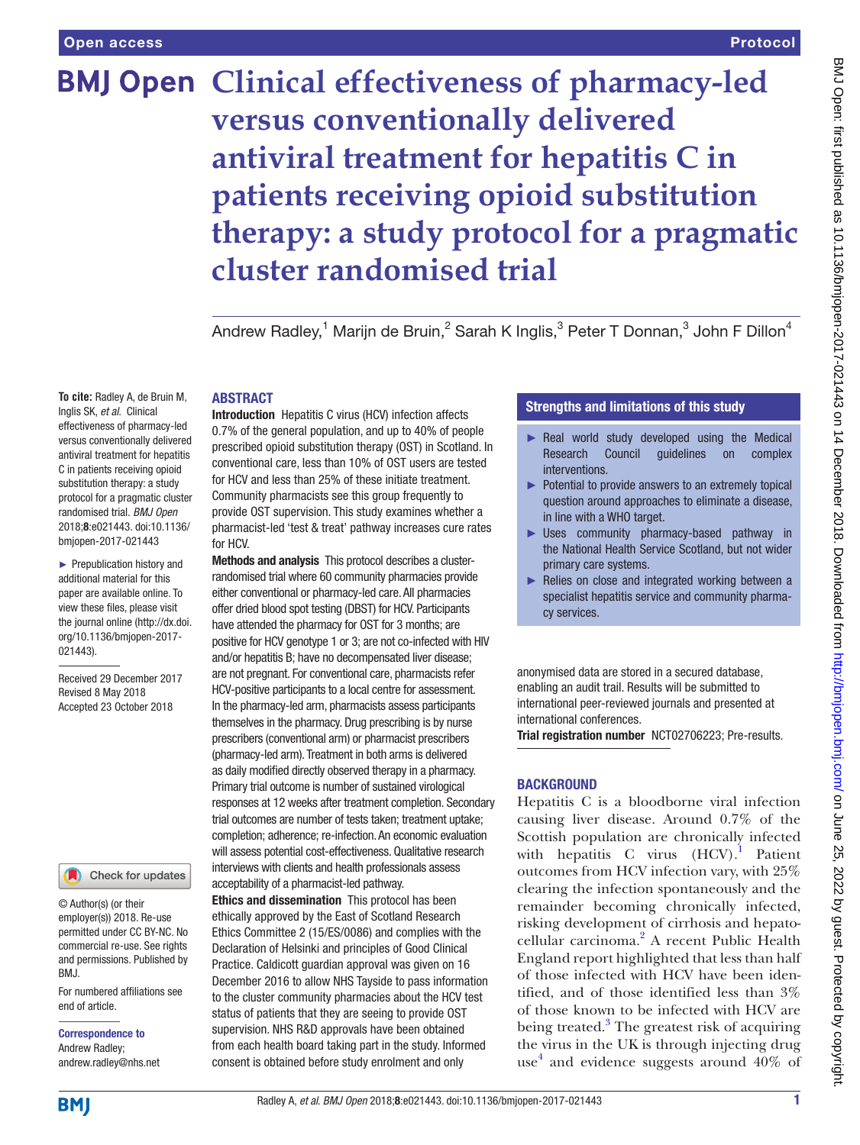## Protocol

# **BMJ Open Clinical effectiveness of pharmacy-led versus conventionally delivered antiviral treatment for hepatitis C in patients receiving opioid substitution therapy: a study protocol for a pragmatic cluster randomised trial**

Andrew Radley, $^1$  Marijn de Bruin, $^2$  Sarah K Inglis, $^3$  Peter T Donnan, $^3$  John F Dillon $^4$ 

#### **ABSTRACT**

**To cite:** Radley A, de Bruin M, Inglis SK, *et al*. Clinical effectiveness of pharmacy-led versus conventionally delivered antiviral treatment for hepatitis C in patients receiving opioid substitution therapy: a study protocol for a pragmatic cluster randomised trial. *BMJ Open* 2018;8:e021443. doi:10.1136/ bmjopen-2017-021443

► Prepublication history and additional material for this paper are available online. To view these files, please visit the journal online [\(http://dx.doi.](http://dx.doi.org/10.1136/bmjopen-2017-021443) [org/10.1136/bmjopen-2017-](http://dx.doi.org/10.1136/bmjopen-2017-021443) [021443\)](http://dx.doi.org/10.1136/bmjopen-2017-021443).

Received 29 December 2017 Revised 8 May 2018 Accepted 23 October 2018



© Author(s) (or their employer(s)) 2018. Re-use permitted under CC BY-NC. No commercial re-use. See rights and permissions. Published by BMJ.

For numbered affiliations see end of article.

Correspondence to Andrew Radley; andrew.radley@nhs.net Introduction Hepatitis C virus (HCV) infection affects 0.7% of the general population, and up to 40% of people prescribed opioid substitution therapy (OST) in Scotland. In conventional care, less than 10% of OST users are tested for HCV and less than 25% of these initiate treatment. Community pharmacists see this group frequently to provide OST supervision. This study examines whether a pharmacist-led 'test & treat' pathway increases cure rates for HCV.

Methods and analysis This protocol describes a clusterrandomised trial where 60 community pharmacies provide either conventional or pharmacy-led care. All pharmacies offer dried blood spot testing (DBST) for HCV. Participants have attended the pharmacy for OST for 3 months; are positive for HCV genotype 1 or 3; are not co-infected with HIV and/or hepatitis B; have no decompensated liver disease; are not pregnant. For conventional care, pharmacists refer HCV-positive participants to a local centre for assessment. In the pharmacy-led arm, pharmacists assess participants themselves in the pharmacy. Drug prescribing is by nurse prescribers (conventional arm) or pharmacist prescribers (pharmacy-led arm). Treatment in both arms is delivered as daily modified directly observed therapy in a pharmacy. Primary trial outcome is number of sustained virological responses at 12 weeks after treatment completion. Secondary trial outcomes are number of tests taken; treatment uptake; completion; adherence; re-infection. An economic evaluation will assess potential cost-effectiveness. Qualitative research interviews with clients and health professionals assess acceptability of a pharmacist-led pathway.

Ethics and dissemination This protocol has been ethically approved by the East of Scotland Research Ethics Committee 2 (15/ES/0086) and complies with the Declaration of Helsinki and principles of Good Clinical Practice. Caldicott guardian approval was given on 16 December 2016 to allow NHS Tayside to pass information to the cluster community pharmacies about the HCV test status of patients that they are seeing to provide OST supervision. NHS R&D approvals have been obtained from each health board taking part in the study. Informed consent is obtained before study enrolment and only

## Strengths and limitations of this study

- ► Real world study developed using the Medical Research Council guidelines on complex interventions.
- ► Potential to provide answers to an extremely topical question around approaches to eliminate a disease, in line with a WHO target.
- Uses community pharmacy-based pathway in the National Health Service Scotland, but not wider primary care systems.
- ► Relies on close and integrated working between a specialist hepatitis service and community pharmacy services.

anonymised data are stored in a secured database, enabling an audit trail. Results will be submitted to international peer-reviewed journals and presented at international conferences.

Trial registration number [NCT02706223;](NCT02706223) Pre-results.

## **BACKGROUND**

Hepatitis C is a bloodborne viral infection causing liver disease. Around 0.7% of the Scottish population are chronically infected with hepatitis C virus  $(HCV)^1$ . Patient outcomes from HCV infection vary, with 25% clearing the infection spontaneously and the remainder becoming chronically infected, risking development of cirrhosis and hepatocellular carcinoma.<sup>2</sup> A recent Public Health England report highlighted that less than half of those infected with HCV have been identified, and of those identified less than 3% of those known to be infected with HCV are being treated.<sup>[3](#page-7-2)</sup> The greatest risk of acquiring the virus in the UK is through injecting drug use<sup>[4](#page-7-3)</sup> and evidence suggests around 40% of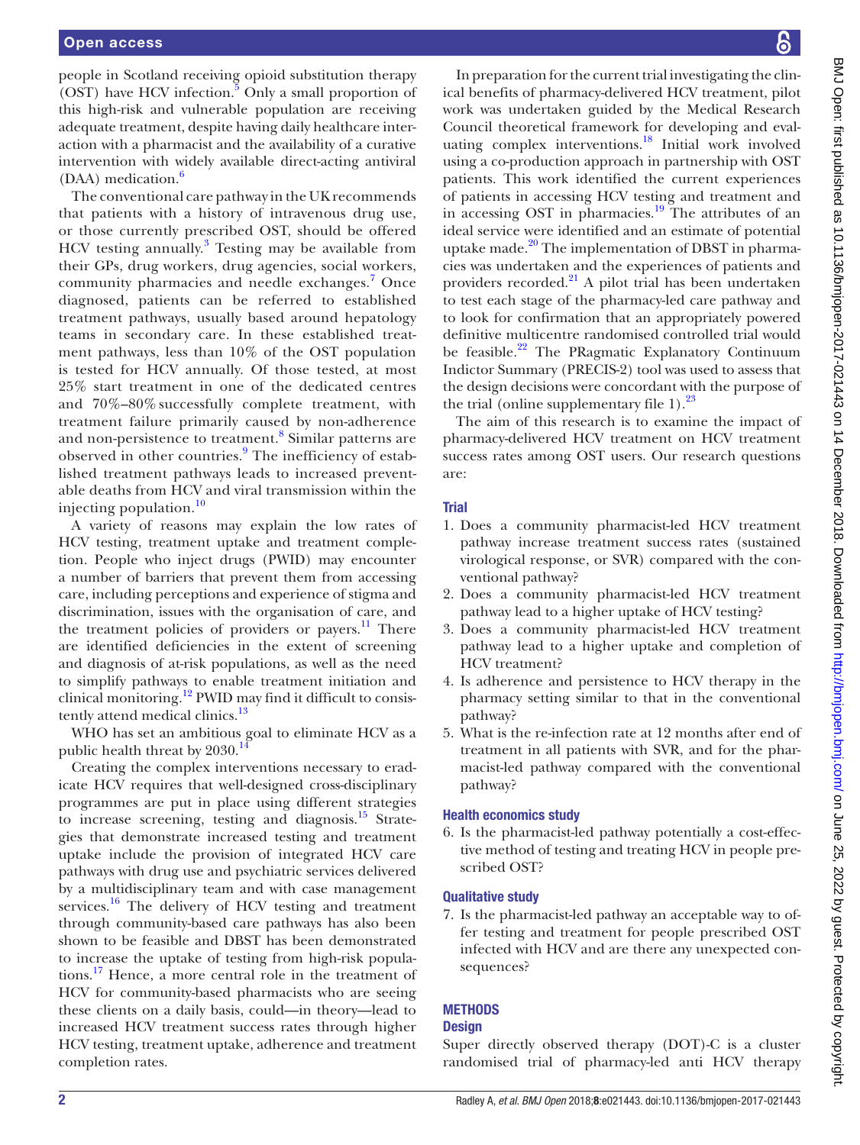people in Scotland receiving opioid substitution therapy (OST) have HCV infection.<sup>5</sup> Only a small proportion of this high-risk and vulnerable population are receiving adequate treatment, despite having daily healthcare interaction with a pharmacist and the availability of a curative intervention with widely available direct-acting antiviral  $(DAA)$  medication.<sup>[6](#page-7-5)</sup>

The conventional care pathway in the UK recommends that patients with a history of intravenous drug use, or those currently prescribed OST, should be offered HCV testing annually.<sup>[3](#page-7-2)</sup> Testing may be available from their GPs, drug workers, drug agencies, social workers, community pharmacies and needle exchanges.<sup>[7](#page-7-6)</sup> Once diagnosed, patients can be referred to established treatment pathways, usually based around hepatology teams in secondary care. In these established treatment pathways, less than 10% of the OST population is tested for HCV annually. Of those tested, at most 25% start treatment in one of the dedicated centres and 70%–80% successfully complete treatment, with treatment failure primarily caused by non-adherence and non-persistence to treatment.<sup>[8](#page-7-7)</sup> Similar patterns are observed in other countries.<sup>[9](#page-7-8)</sup> The inefficiency of established treatment pathways leads to increased preventable deaths from HCV and viral transmission within the injecting population.[10](#page-7-9)

A variety of reasons may explain the low rates of HCV testing, treatment uptake and treatment completion. People who inject drugs (PWID) may encounter a number of barriers that prevent them from accessing care, including perceptions and experience of stigma and discrimination, issues with the organisation of care, and the treatment policies of providers or payers. $11$  There are identified deficiencies in the extent of screening and diagnosis of at-risk populations, as well as the need to simplify pathways to enable treatment initiation and clinical monitoring.[12](#page-7-11) PWID may find it difficult to consis-tently attend medical clinics.<sup>[13](#page-7-12)</sup>

WHO has set an ambitious goal to eliminate HCV as a public health threat by  $2030.<sup>1</sup>$ 

Creating the complex interventions necessary to eradicate HCV requires that well-designed cross-disciplinary programmes are put in place using different strategies to increase screening, testing and diagnosis. $15$  Strategies that demonstrate increased testing and treatment uptake include the provision of integrated HCV care pathways with drug use and psychiatric services delivered by a multidisciplinary team and with case management services. $16$  The delivery of HCV testing and treatment through community-based care pathways has also been shown to be feasible and DBST has been demonstrated to increase the uptake of testing from high-risk populations[.17](#page-7-16) Hence, a more central role in the treatment of HCV for community-based pharmacists who are seeing these clients on a daily basis, could—in theory—lead to increased HCV treatment success rates through higher HCV testing, treatment uptake, adherence and treatment completion rates.

In preparation for the current trial investigating the clinical benefits of pharmacy-delivered HCV treatment, pilot work was undertaken guided by the Medical Research Council theoretical framework for developing and evaluating complex interventions.<sup>18</sup> Initial work involved using a co-production approach in partnership with OST patients. This work identified the current experiences of patients in accessing HCV testing and treatment and in accessing OST in pharmacies.<sup>19</sup> The attributes of an ideal service were identified and an estimate of potential uptake made. $^{20}$  The implementation of DBST in pharmacies was undertaken and the experiences of patients and providers recorded.[21](#page-7-20) A pilot trial has been undertaken to test each stage of the pharmacy-led care pathway and to look for confirmation that an appropriately powered definitive multicentre randomised controlled trial would be feasible.<sup>22</sup> The PRagmatic Explanatory Continuum Indictor Summary (PRECIS-2) tool was used to assess that the design decisions were concordant with the purpose of the trial (online [supplementary file 1](https://dx.doi.org/10.1136/bmjopen-2017-021443)). $^{23}$ 

The aim of this research is to examine the impact of pharmacy-delivered HCV treatment on HCV treatment success rates among OST users. Our research questions are:

## Trial

- 1. Does a community pharmacist-led HCV treatment pathway increase treatment success rates (sustained virological response, or SVR) compared with the conventional pathway?
- 2. Does a community pharmacist-led HCV treatment pathway lead to a higher uptake of HCV testing?
- 3. Does a community pharmacist-led HCV treatment pathway lead to a higher uptake and completion of HCV treatment?
- 4. Is adherence and persistence to HCV therapy in the pharmacy setting similar to that in the conventional pathway?
- 5. What is the re-infection rate at 12 months after end of treatment in all patients with SVR, and for the pharmacist-led pathway compared with the conventional pathway?

## Health economics study

6. Is the pharmacist-led pathway potentially a cost-effective method of testing and treating HCV in people prescribed OST?

## Qualitative study

7. Is the pharmacist-led pathway an acceptable way to offer testing and treatment for people prescribed OST infected with HCV and are there any unexpected consequences?

## **METHODS**

#### **Design**

Super directly observed therapy (DOT)-C is a cluster randomised trial of pharmacy-led anti HCV therapy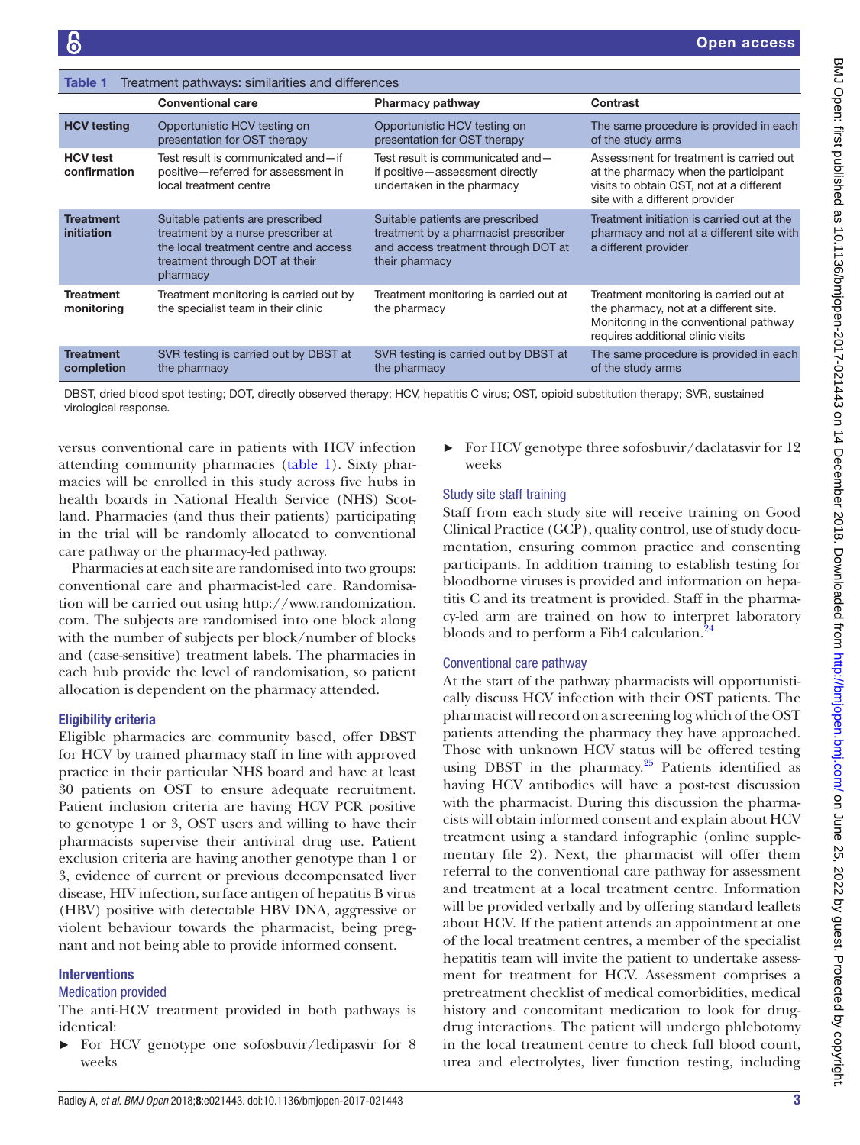<span id="page-2-0"></span>

| Treatment pathways: similarities and differences<br>Table 1 |                                                                                                                                                               |                                                                                                                                   |                                                                                                                                                                 |
|-------------------------------------------------------------|---------------------------------------------------------------------------------------------------------------------------------------------------------------|-----------------------------------------------------------------------------------------------------------------------------------|-----------------------------------------------------------------------------------------------------------------------------------------------------------------|
|                                                             | <b>Conventional care</b>                                                                                                                                      | <b>Pharmacy pathway</b>                                                                                                           | Contrast                                                                                                                                                        |
| <b>HCV testing</b>                                          | Opportunistic HCV testing on<br>presentation for OST therapy                                                                                                  | Opportunistic HCV testing on<br>presentation for OST therapy                                                                      | The same procedure is provided in each<br>of the study arms                                                                                                     |
| <b>HCV</b> test<br>confirmation                             | Test result is communicated and-if<br>positive-referred for assessment in<br>local treatment centre                                                           | Test result is communicated and-<br>if positive-assessment directly<br>undertaken in the pharmacy                                 | Assessment for treatment is carried out<br>at the pharmacy when the participant<br>visits to obtain OST, not at a different<br>site with a different provider   |
| <b>Treatment</b><br>initiation                              | Suitable patients are prescribed<br>treatment by a nurse prescriber at<br>the local treatment centre and access<br>treatment through DOT at their<br>pharmacy | Suitable patients are prescribed<br>treatment by a pharmacist prescriber<br>and access treatment through DOT at<br>their pharmacy | Treatment initiation is carried out at the<br>pharmacy and not at a different site with<br>a different provider                                                 |
| <b>Treatment</b><br>monitoring                              | Treatment monitoring is carried out by<br>the specialist team in their clinic                                                                                 | Treatment monitoring is carried out at<br>the pharmacy                                                                            | Treatment monitoring is carried out at<br>the pharmacy, not at a different site.<br>Monitoring in the conventional pathway<br>requires additional clinic visits |
| <b>Treatment</b><br>completion                              | SVR testing is carried out by DBST at<br>the pharmacy                                                                                                         | SVR testing is carried out by DBST at<br>the pharmacy                                                                             | The same procedure is provided in each<br>of the study arms                                                                                                     |

DBST, dried blood spot testing; DOT, directly observed therapy; HCV, hepatitis C virus; OST, opioid substitution therapy; SVR, sustained virological response.

versus conventional care in patients with HCV infection attending community pharmacies ([table](#page-2-0) 1). Sixty pharmacies will be enrolled in this study across five hubs in health boards in National Health Service (NHS) Scotland. Pharmacies (and thus their patients) participating in the trial will be randomly allocated to conventional care pathway or the pharmacy-led pathway.

Pharmacies at each site are randomised into two groups: conventional care and pharmacist-led care. Randomisation will be carried out using [http://www.randomization.](http://www.randomization.com.) [com.](http://www.randomization.com.) The subjects are randomised into one block along with the number of subjects per block/number of blocks and (case-sensitive) treatment labels. The pharmacies in each hub provide the level of randomisation, so patient allocation is dependent on the pharmacy attended.

## Eligibility criteria

Eligible pharmacies are community based, offer DBST for HCV by trained pharmacy staff in line with approved practice in their particular NHS board and have at least 30 patients on OST to ensure adequate recruitment. Patient inclusion criteria are having HCV PCR positive to genotype 1 or 3, OST users and willing to have their pharmacists supervise their antiviral drug use. Patient exclusion criteria are having another genotype than 1 or 3, evidence of current or previous decompensated liver disease, HIV infection, surface antigen of hepatitis B virus (HBV) positive with detectable HBV DNA, aggressive or violent behaviour towards the pharmacist, being pregnant and not being able to provide informed consent.

## Interventions

#### Medication provided

The anti-HCV treatment provided in both pathways is identical:

For HCV genotype one sofosbuvir/ledipasvir for 8 weeks

► For HCV genotype three sofosbuvir/daclatasvir for 12 weeks

## Study site staff training

Staff from each study site will receive training on Good Clinical Practice (GCP), quality control, use of study documentation, ensuring common practice and consenting participants. In addition training to establish testing for bloodborne viruses is provided and information on hepatitis C and its treatment is provided. Staff in the pharmacy-led arm are trained on how to interpret laboratory bloods and to perform a Fib4 calculation.<sup>2</sup>

## Conventional care pathway

At the start of the pathway pharmacists will opportunistically discuss HCV infection with their OST patients. The pharmacist will record on a screening log which of the OST patients attending the pharmacy they have approached. Those with unknown HCV status will be offered testing using DBST in the pharmacy. $25$  Patients identified as having HCV antibodies will have a post-test discussion with the pharmacist. During this discussion the pharmacists will obtain informed consent and explain about HCV treatment using a standard infographic (online [supple](https://dx.doi.org/10.1136/bmjopen-2017-021443)[mentary file 2](https://dx.doi.org/10.1136/bmjopen-2017-021443)). Next, the pharmacist will offer them referral to the conventional care pathway for assessment and treatment at a local treatment centre. Information will be provided verbally and by offering standard leaflets about HCV. If the patient attends an appointment at one of the local treatment centres, a member of the specialist hepatitis team will invite the patient to undertake assessment for treatment for HCV. Assessment comprises a pretreatment checklist of medical comorbidities, medical history and concomitant medication to look for drugdrug interactions. The patient will undergo phlebotomy in the local treatment centre to check full blood count, urea and electrolytes, liver function testing, including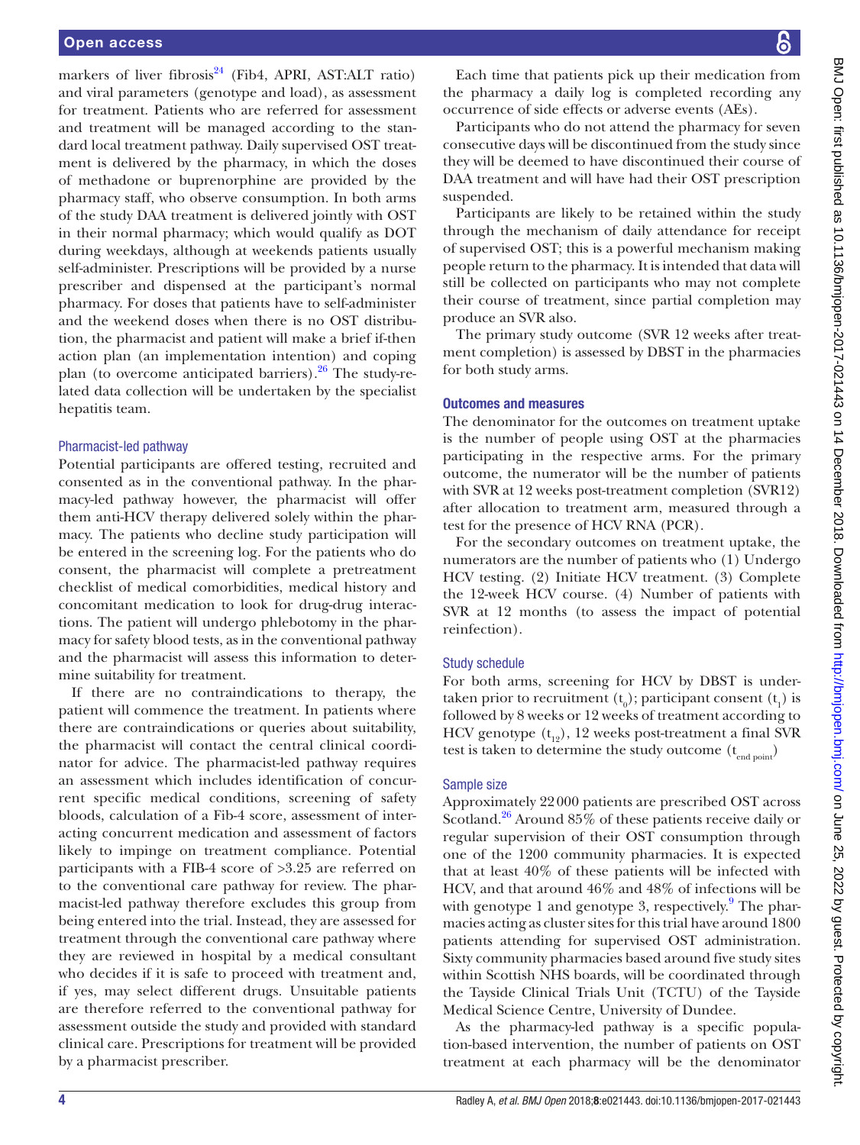markers of liver fibrosis $^{24}$  (Fib4, APRI, AST:ALT ratio) and viral parameters (genotype and load), as assessment for treatment. Patients who are referred for assessment and treatment will be managed according to the standard local treatment pathway. Daily supervised OST treatment is delivered by the pharmacy, in which the doses of methadone or buprenorphine are provided by the pharmacy staff, who observe consumption. In both arms of the study DAA treatment is delivered jointly with OST in their normal pharmacy; which would qualify as DOT during weekdays, although at weekends patients usually self-administer. Prescriptions will be provided by a nurse prescriber and dispensed at the participant's normal pharmacy. For doses that patients have to self-administer and the weekend doses when there is no OST distribution, the pharmacist and patient will make a brief if-then action plan (an implementation intention) and coping plan (to overcome anticipated barriers). $26$  The study-related data collection will be undertaken by the specialist hepatitis team.

#### Pharmacist-led pathway

Potential participants are offered testing, recruited and consented as in the conventional pathway. In the pharmacy-led pathway however, the pharmacist will offer them anti-HCV therapy delivered solely within the pharmacy. The patients who decline study participation will be entered in the screening log. For the patients who do consent, the pharmacist will complete a pretreatment checklist of medical comorbidities, medical history and concomitant medication to look for drug-drug interactions. The patient will undergo phlebotomy in the pharmacy for safety blood tests, as in the conventional pathway and the pharmacist will assess this information to determine suitability for treatment.

If there are no contraindications to therapy, the patient will commence the treatment. In patients where there are contraindications or queries about suitability, the pharmacist will contact the central clinical coordinator for advice. The pharmacist-led pathway requires an assessment which includes identification of concurrent specific medical conditions, screening of safety bloods, calculation of a Fib-4 score, assessment of interacting concurrent medication and assessment of factors likely to impinge on treatment compliance. Potential participants with a FIB-4 score of >3.25 are referred on to the conventional care pathway for review. The pharmacist-led pathway therefore excludes this group from being entered into the trial. Instead, they are assessed for treatment through the conventional care pathway where they are reviewed in hospital by a medical consultant who decides if it is safe to proceed with treatment and, if yes, may select different drugs. Unsuitable patients are therefore referred to the conventional pathway for assessment outside the study and provided with standard clinical care. Prescriptions for treatment will be provided by a pharmacist prescriber.

Each time that patients pick up their medication from the pharmacy a daily log is completed recording any occurrence of side effects or adverse events (AEs).

Participants who do not attend the pharmacy for seven consecutive days will be discontinued from the study since they will be deemed to have discontinued their course of DAA treatment and will have had their OST prescription suspended.

Participants are likely to be retained within the study through the mechanism of daily attendance for receipt of supervised OST; this is a powerful mechanism making people return to the pharmacy. It is intended that data will still be collected on participants who may not complete their course of treatment, since partial completion may produce an SVR also.

The primary study outcome (SVR 12 weeks after treatment completion) is assessed by DBST in the pharmacies for both study arms.

#### Outcomes and measures

The denominator for the outcomes on treatment uptake is the number of people using OST at the pharmacies participating in the respective arms. For the primary outcome, the numerator will be the number of patients with SVR at 12 weeks post-treatment completion (SVR12) after allocation to treatment arm, measured through a test for the presence of HCV RNA (PCR).

For the secondary outcomes on treatment uptake, the numerators are the number of patients who (1) Undergo HCV testing. (2) Initiate HCV treatment. (3) Complete the 12-week HCV course. (4) Number of patients with SVR at 12 months (to assess the impact of potential reinfection).

## Study schedule

For both arms, screening for HCV by DBST is undertaken prior to recruitment  $(t_0)$ ; participant consent  $(t_1)$  is followed by 8 weeks or 12 weeks of treatment according to HCV genotype  $(t_{12})$ , 12 weeks post-treatment a final SVR test is taken to determine the study outcome  $(t_{end\,point})$ 

## Sample size

Approximately 22000 patients are prescribed OST across Scotland.<sup>[26](#page-7-25)</sup> Around 85% of these patients receive daily or regular supervision of their OST consumption through one of the 1200 community pharmacies. It is expected that at least 40% of these patients will be infected with HCV, and that around 46% and 48% of infections will be with genotype 1 and genotype 3, respectively.<sup>[9](#page-7-8)</sup> The pharmacies acting as cluster sites for this trial have around 1800 patients attending for supervised OST administration. Sixty community pharmacies based around five study sites within Scottish NHS boards, will be coordinated through the Tayside Clinical Trials Unit (TCTU) of the Tayside Medical Science Centre, University of Dundee.

As the pharmacy-led pathway is a specific population-based intervention, the number of patients on OST treatment at each pharmacy will be the denominator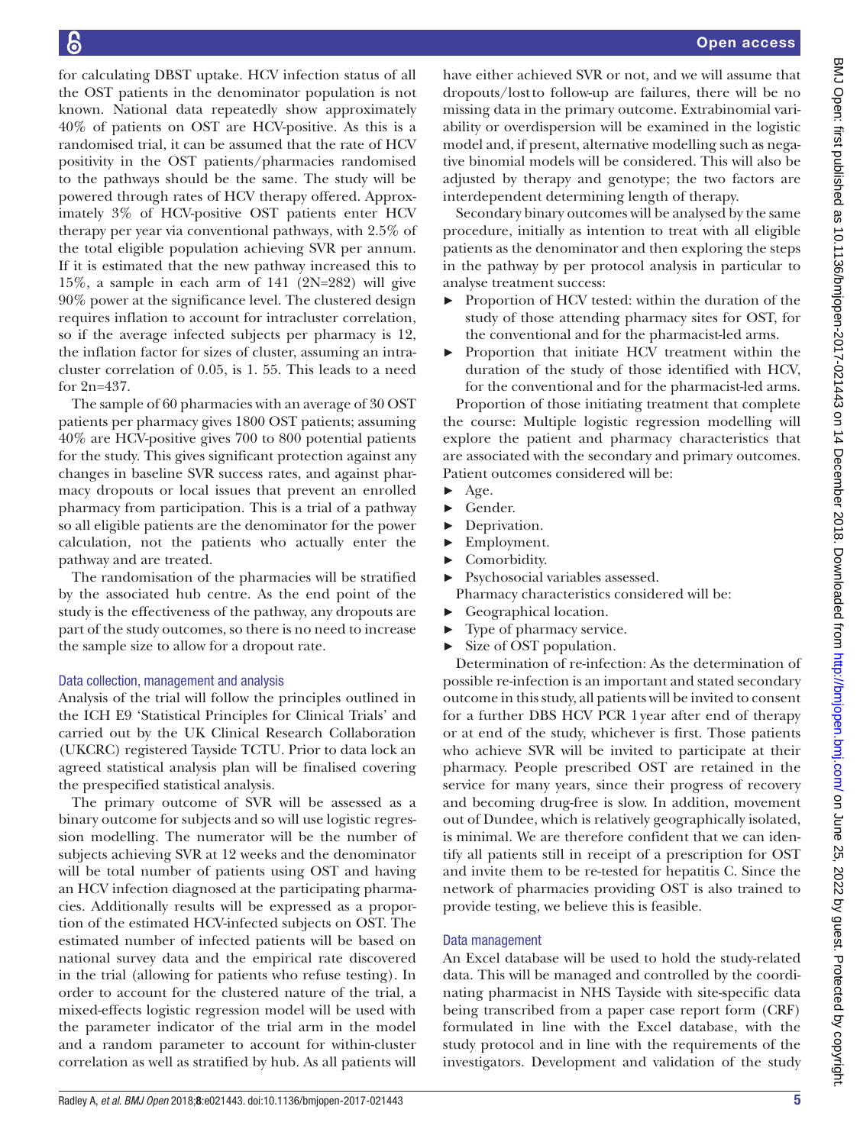for calculating DBST uptake. HCV infection status of all the OST patients in the denominator population is not known. National data repeatedly show approximately 40% of patients on OST are HCV-positive. As this is a randomised trial, it can be assumed that the rate of HCV positivity in the OST patients/pharmacies randomised to the pathways should be the same. The study will be powered through rates of HCV therapy offered. Approximately 3% of HCV-positive OST patients enter HCV therapy per year via conventional pathways, with 2.5% of the total eligible population achieving SVR per annum. If it is estimated that the new pathway increased this to 15%, a sample in each arm of 141 (2N=282) will give 90% power at the significance level. The clustered design requires inflation to account for intracluster correlation, so if the average infected subjects per pharmacy is 12, the inflation factor for sizes of cluster, assuming an intracluster correlation of 0.05, is 1. 55. This leads to a need for 2n=437.

The sample of 60 pharmacies with an average of 30 OST patients per pharmacy gives 1800 OST patients; assuming 40% are HCV-positive gives 700 to 800 potential patients for the study. This gives significant protection against any changes in baseline SVR success rates, and against pharmacy dropouts or local issues that prevent an enrolled pharmacy from participation. This is a trial of a pathway so all eligible patients are the denominator for the power calculation, not the patients who actually enter the pathway and are treated.

The randomisation of the pharmacies will be stratified by the associated hub centre. As the end point of the study is the effectiveness of the pathway, any dropouts are part of the study outcomes, so there is no need to increase the sample size to allow for a dropout rate.

#### Data collection, management and analysis

Analysis of the trial will follow the principles outlined in the ICH E9 'Statistical Principles for Clinical Trials' and carried out by the UK Clinical Research Collaboration (UKCRC) registered Tayside TCTU. Prior to data lock an agreed statistical analysis plan will be finalised covering the prespecified statistical analysis.

The primary outcome of SVR will be assessed as a binary outcome for subjects and so will use logistic regression modelling. The numerator will be the number of subjects achieving SVR at 12 weeks and the denominator will be total number of patients using OST and having an HCV infection diagnosed at the participating pharmacies. Additionally results will be expressed as a proportion of the estimated HCV-infected subjects on OST. The estimated number of infected patients will be based on national survey data and the empirical rate discovered in the trial (allowing for patients who refuse testing). In order to account for the clustered nature of the trial, a mixed-effects logistic regression model will be used with the parameter indicator of the trial arm in the model and a random parameter to account for within-cluster correlation as well as stratified by hub. As all patients will

have either achieved SVR or not, and we will assume that dropouts/lostto follow-up are failures, there will be no missing data in the primary outcome. Extrabinomial variability or overdispersion will be examined in the logistic model and, if present, alternative modelling such as negative binomial models will be considered. This will also be adjusted by therapy and genotype; the two factors are interdependent determining length of therapy.

Secondary binary outcomes will be analysed by the same procedure, initially as intention to treat with all eligible patients as the denominator and then exploring the steps in the pathway by per protocol analysis in particular to analyse treatment success:

- ► Proportion of HCV tested: within the duration of the study of those attending pharmacy sites for OST, for the conventional and for the pharmacist-led arms.
- ► Proportion that initiate HCV treatment within the duration of the study of those identified with HCV, for the conventional and for the pharmacist-led arms.

Proportion of those initiating treatment that complete the course: Multiple logistic regression modelling will explore the patient and pharmacy characteristics that are associated with the secondary and primary outcomes. Patient outcomes considered will be:

- $\rightharpoonup$  Age.
- ► Gender.
- ► Deprivation.
- ► Employment.
- ► Comorbidity.
- ► Psychosocial variables assessed. Pharmacy characteristics considered will be:
- ► Geographical location.
- ► Type of pharmacy service.
- Size of OST population.

Determination of re-infection: As the determination of possible re-infection is an important and stated secondary outcome in this study, all patients will be invited to consent for a further DBS HCV PCR 1year after end of therapy or at end of the study, whichever is first. Those patients who achieve SVR will be invited to participate at their pharmacy. People prescribed OST are retained in the service for many years, since their progress of recovery and becoming drug-free is slow. In addition, movement out of Dundee, which is relatively geographically isolated, is minimal. We are therefore confident that we can identify all patients still in receipt of a prescription for OST and invite them to be re-tested for hepatitis C. Since the network of pharmacies providing OST is also trained to provide testing, we believe this is feasible.

#### Data management

An Excel database will be used to hold the study-related data. This will be managed and controlled by the coordinating pharmacist in NHS Tayside with site-specific data being transcribed from a paper case report form (CRF) formulated in line with the Excel database, with the study protocol and in line with the requirements of the investigators. Development and validation of the study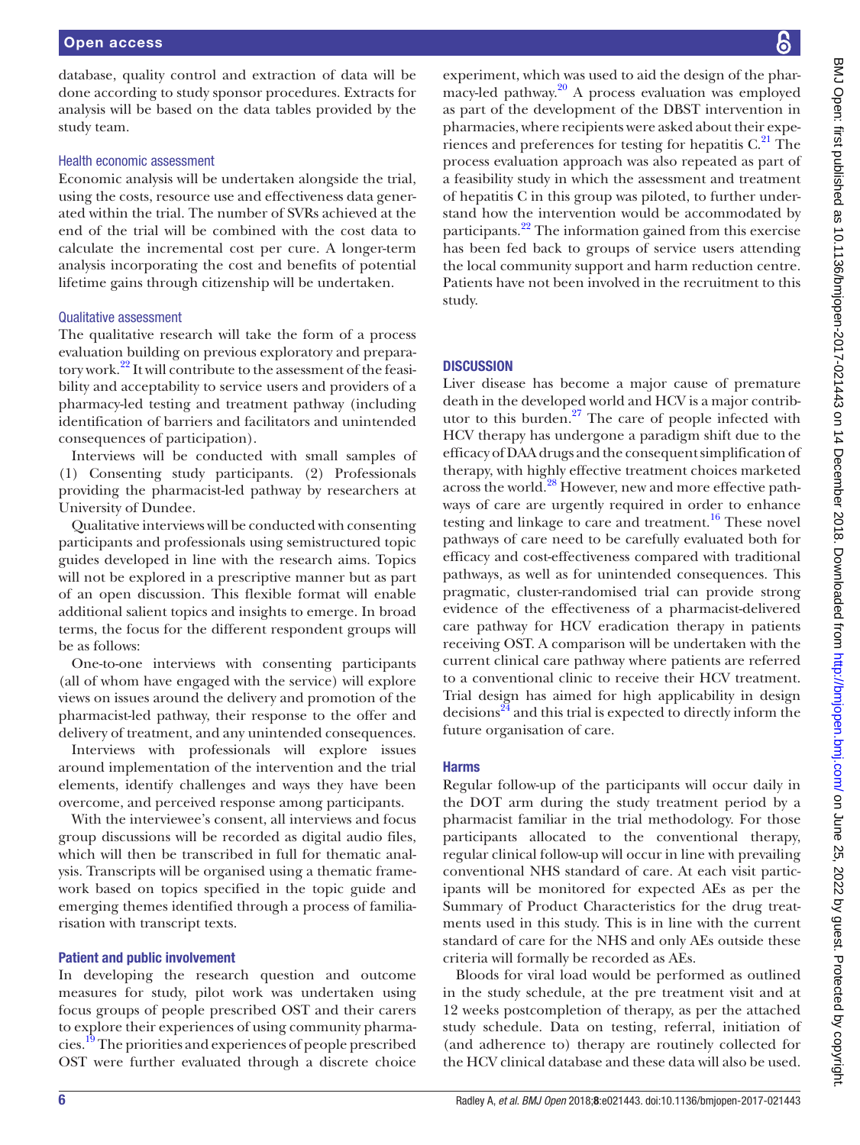database, quality control and extraction of data will be done according to study sponsor procedures. Extracts for analysis will be based on the data tables provided by the study team.

#### Health economic assessment

Economic analysis will be undertaken alongside the trial, using the costs, resource use and effectiveness data generated within the trial. The number of SVRs achieved at the end of the trial will be combined with the cost data to calculate the incremental cost per cure. A longer-term analysis incorporating the cost and benefits of potential lifetime gains through citizenship will be undertaken.

#### Qualitative assessment

The qualitative research will take the form of a process evaluation building on previous exploratory and preparatory work.<sup>22</sup> It will contribute to the assessment of the feasibility and acceptability to service users and providers of a pharmacy-led testing and treatment pathway (including identification of barriers and facilitators and unintended consequences of participation).

Interviews will be conducted with small samples of (1) Consenting study participants. (2) Professionals providing the pharmacist-led pathway by researchers at University of Dundee.

Qualitative interviews will be conducted with consenting participants and professionals using semistructured topic guides developed in line with the research aims. Topics will not be explored in a prescriptive manner but as part of an open discussion. This flexible format will enable additional salient topics and insights to emerge. In broad terms, the focus for the different respondent groups will be as follows:

One-to-one interviews with consenting participants (all of whom have engaged with the service) will explore views on issues around the delivery and promotion of the pharmacist-led pathway, their response to the offer and delivery of treatment, and any unintended consequences.

Interviews with professionals will explore issues around implementation of the intervention and the trial elements, identify challenges and ways they have been overcome, and perceived response among participants.

With the interviewee's consent, all interviews and focus group discussions will be recorded as digital audio files, which will then be transcribed in full for thematic analysis. Transcripts will be organised using a thematic framework based on topics specified in the topic guide and emerging themes identified through a process of familiarisation with transcript texts.

#### Patient and public involvement

In developing the research question and outcome measures for study, pilot work was undertaken using focus groups of people prescribed OST and their carers to explore their experiences of using community pharmacies[.19](#page-7-18) The priorities and experiences of people prescribed OST were further evaluated through a discrete choice

experiment, which was used to aid the design of the pharmacy-led pathway. $20$  A process evaluation was employed as part of the development of the DBST intervention in pharmacies, where recipients were asked about their experiences and preferences for testing for hepatitis  $C<sup>21</sup>$ . The process evaluation approach was also repeated as part of a feasibility study in which the assessment and treatment of hepatitis C in this group was piloted, to further understand how the intervention would be accommodated by participants.<sup>22</sup> The information gained from this exercise has been fed back to groups of service users attending the local community support and harm reduction centre. Patients have not been involved in the recruitment to this study.

#### **DISCUSSION**

Liver disease has become a major cause of premature death in the developed world and HCV is a major contributor to this burden. $27$  The care of people infected with HCV therapy has undergone a paradigm shift due to the efficacy of DAA drugs and the consequent simplification of therapy, with highly effective treatment choices marketed across the world.<sup>28</sup> However, new and more effective pathways of care are urgently required in order to enhance testing and linkage to care and treatment.<sup>16</sup> These novel pathways of care need to be carefully evaluated both for efficacy and cost-effectiveness compared with traditional pathways, as well as for unintended consequences. This pragmatic, cluster-randomised trial can provide strong evidence of the effectiveness of a pharmacist-delivered care pathway for HCV eradication therapy in patients receiving OST. A comparison will be undertaken with the current clinical care pathway where patients are referred to a conventional clinic to receive their HCV treatment. Trial design has aimed for high applicability in design decisions<sup>24</sup> and this trial is expected to directly inform the future organisation of care.

#### Harms

Regular follow-up of the participants will occur daily in the DOT arm during the study treatment period by a pharmacist familiar in the trial methodology. For those participants allocated to the conventional therapy, regular clinical follow-up will occur in line with prevailing conventional NHS standard of care. At each visit participants will be monitored for expected AEs as per the Summary of Product Characteristics for the drug treatments used in this study. This is in line with the current standard of care for the NHS and only AEs outside these criteria will formally be recorded as AEs.

Bloods for viral load would be performed as outlined in the study schedule, at the pre treatment visit and at 12 weeks postcompletion of therapy, as per the attached study schedule. Data on testing, referral, initiation of (and adherence to) therapy are routinely collected for the HCV clinical database and these data will also be used.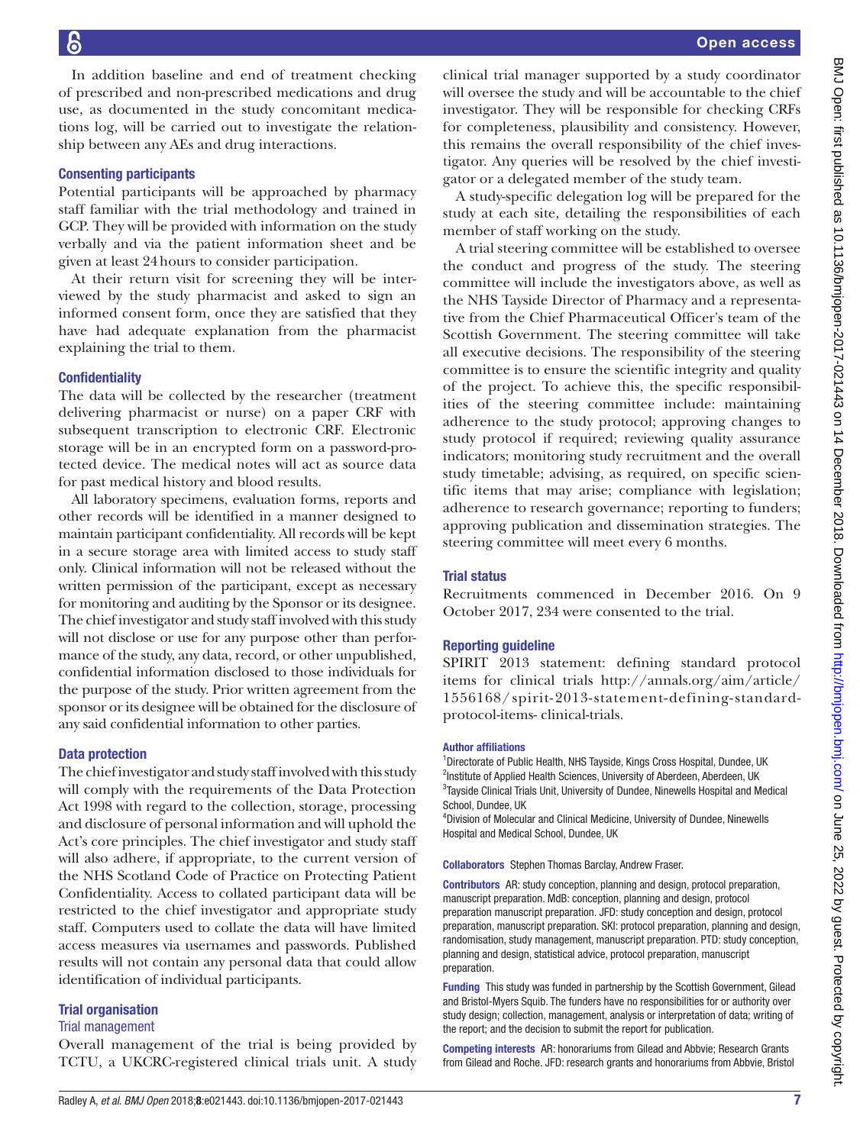In addition baseline and end of treatment checking of prescribed and non-prescribed medications and drug use, as documented in the study concomitant medications log, will be carried out to investigate the relationship between any AEs and drug interactions.

### Consenting participants

Potential participants will be approached by pharmacy staff familiar with the trial methodology and trained in GCP. They will be provided with information on the study verbally and via the patient information sheet and be given at least 24hours to consider participation.

At their return visit for screening they will be interviewed by the study pharmacist and asked to sign an informed consent form, once they are satisfied that they have had adequate explanation from the pharmacist explaining the trial to them.

## **Confidentiality**

The data will be collected by the researcher (treatment delivering pharmacist or nurse) on a paper CRF with subsequent transcription to electronic CRF. Electronic storage will be in an encrypted form on a password-protected device. The medical notes will act as source data for past medical history and blood results.

All laboratory specimens, evaluation forms, reports and other records will be identified in a manner designed to maintain participant confidentiality. All records will be kept in a secure storage area with limited access to study staff only. Clinical information will not be released without the written permission of the participant, except as necessary for monitoring and auditing by the Sponsor or its designee. The chief investigator and study staff involved with this study will not disclose or use for any purpose other than performance of the study, any data, record, or other unpublished, confidential information disclosed to those individuals for the purpose of the study. Prior written agreement from the sponsor or its designee will be obtained for the disclosure of any said confidential information to other parties.

## Data protection

The chief investigator and study staff involved with this study will comply with the requirements of the Data Protection Act 1998 with regard to the collection, storage, processing and disclosure of personal information and will uphold the Act's core principles. The chief investigator and study staff will also adhere, if appropriate, to the current version of the NHS Scotland Code of Practice on Protecting Patient Confidentiality. Access to collated participant data will be restricted to the chief investigator and appropriate study staff. Computers used to collate the data will have limited access measures via usernames and passwords. Published results will not contain any personal data that could allow identification of individual participants.

## Trial organisation

## Trial management

Overall management of the trial is being provided by TCTU, a UKCRC-registered clinical trials unit. A study

clinical trial manager supported by a study coordinator will oversee the study and will be accountable to the chief investigator. They will be responsible for checking CRFs for completeness, plausibility and consistency. However, this remains the overall responsibility of the chief investigator. Any queries will be resolved by the chief investigator or a delegated member of the study team.

A study-specific delegation log will be prepared for the study at each site, detailing the responsibilities of each member of staff working on the study.

A trial steering committee will be established to oversee the conduct and progress of the study. The steering committee will include the investigators above, as well as the NHS Tayside Director of Pharmacy and a representative from the Chief Pharmaceutical Officer's team of the Scottish Government. The steering committee will take all executive decisions. The responsibility of the steering committee is to ensure the scientific integrity and quality of the project. To achieve this, the specific responsibilities of the steering committee include: maintaining adherence to the study protocol; approving changes to study protocol if required; reviewing quality assurance indicators; monitoring study recruitment and the overall study timetable; advising, as required, on specific scientific items that may arise; compliance with legislation; adherence to research governance; reporting to funders; approving publication and dissemination strategies. The steering committee will meet every 6 months.

## Trial status

Recruitments commenced in December 2016. On 9 October 2017, 234 were consented to the trial.

## Reporting guideline

SPIRIT 2013 statement: defining standard protocol items for clinical trials [http://annals.org/aim/article/](http://annals.org/aim/article/1556168/spirit-2013-statement-defining-standard-protocol-items-%20clinical-trials) [1556168/spirit-2013-statement-defining-standard](http://annals.org/aim/article/1556168/spirit-2013-statement-defining-standard-protocol-items-%20clinical-trials)[protocol-items- clinical-trials](http://annals.org/aim/article/1556168/spirit-2013-statement-defining-standard-protocol-items-%20clinical-trials).

#### Author affiliations

<sup>1</sup>Directorate of Public Health, NHS Tayside, Kings Cross Hospital, Dundee, UK <sup>2</sup>Institute of Applied Health Sciences, University of Aberdeen, Aberdeen, UK <sup>3</sup>Tayside Clinical Trials Unit, University of Dundee, Ninewells Hospital and Medical School, Dundee, UK

4 Division of Molecular and Clinical Medicine, University of Dundee, Ninewells Hospital and Medical School, Dundee, UK

Collaborators Stephen Thomas Barclay, Andrew Fraser.

Contributors AR: study conception, planning and design, protocol preparation, manuscript preparation. MdB: conception, planning and design, protocol preparation manuscript preparation. JFD: study conception and design, protocol preparation, manuscript preparation. SKI: protocol preparation, planning and design, randomisation, study management, manuscript preparation. PTD: study conception, planning and design, statistical advice, protocol preparation, manuscript preparation.

Funding This study was funded in partnership by the Scottish Government, Gilead and Bristol-Myers Squib. The funders have no responsibilities for or authority over study design; collection, management, analysis or interpretation of data; writing of the report; and the decision to submit the report for publication.

Competing interests AR: honorariums from Gilead and Abbvie; Research Grants from Gilead and Roche. JFD: research grants and honorariums from Abbvie, Bristol